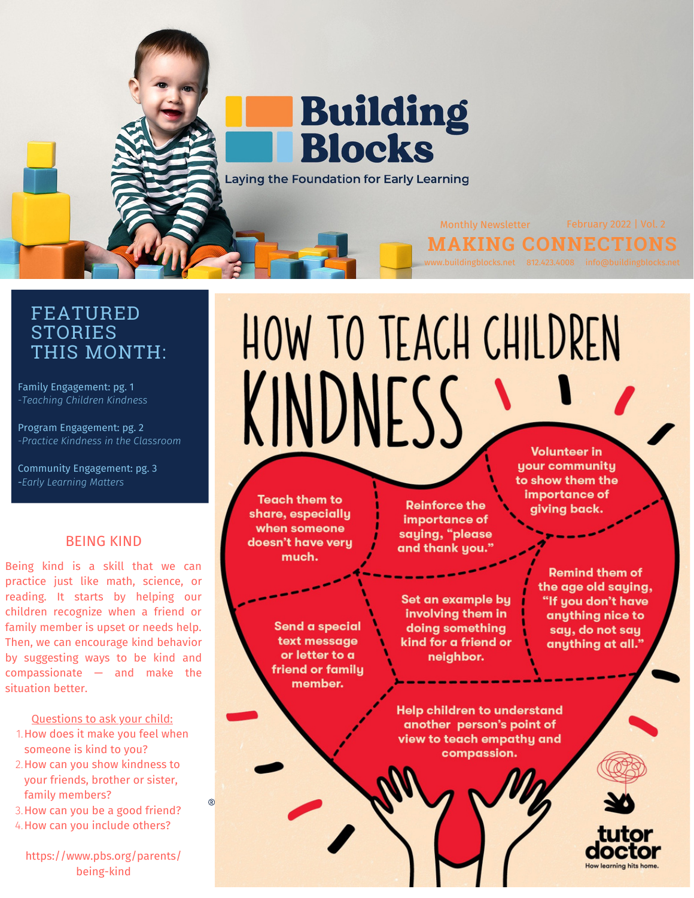

### FEATURED **STORIES** THIS MONTH:

Family Engagement: pg. 1 -*Teaching Children Kindness*

Program Engagement: pg. 2 -*Practice Kindness in the Classroom*

Community Engagement: pg. 3 *-Early Learning Matters*

### BEING KIND

Being kind is a skill that we can practice just like math, science, or reading. It starts by helping our children recognize when a friend or family member is upset or needs help. Then, we can encourage kind behavior by suggesting [ways](https://www.pbs.org/parents/thrive/raising-includers-5-tips-to-help-your-kids-be-kind-and-compassionate) to be kind and [compassionate](https://www.pbs.org/parents/thrive/raising-includers-5-tips-to-help-your-kids-be-kind-and-compassionate) — and make the situation better.

### Questions to ask your child:

- 1. How does it make you feel when someone is kind to you?
- 2. How can you show kindness to your friends, brother or sister, family members?
- 3. How can you be a good friend?
- 4. How can you include others?

https://www.pbs.org/parents/ being-kind

# HOW TO TEACH CHILDREN KINDNESS **Volunteer in**

**Teach them to** share, especially when someone doesn't have very much.

**Reinforce the** importance of saying, "please and thank you.

Send a special text message or letter to a friend or family member.

Set an example by involving them in doing something kind for a friend or neighbor.

**Help children to understand** another person's point of view to teach empathy and compassion.

your community to show them the importance of giving back.

> **Remind them of** the age old saying, "If you don't have anything nice to say, do not say anything at all."

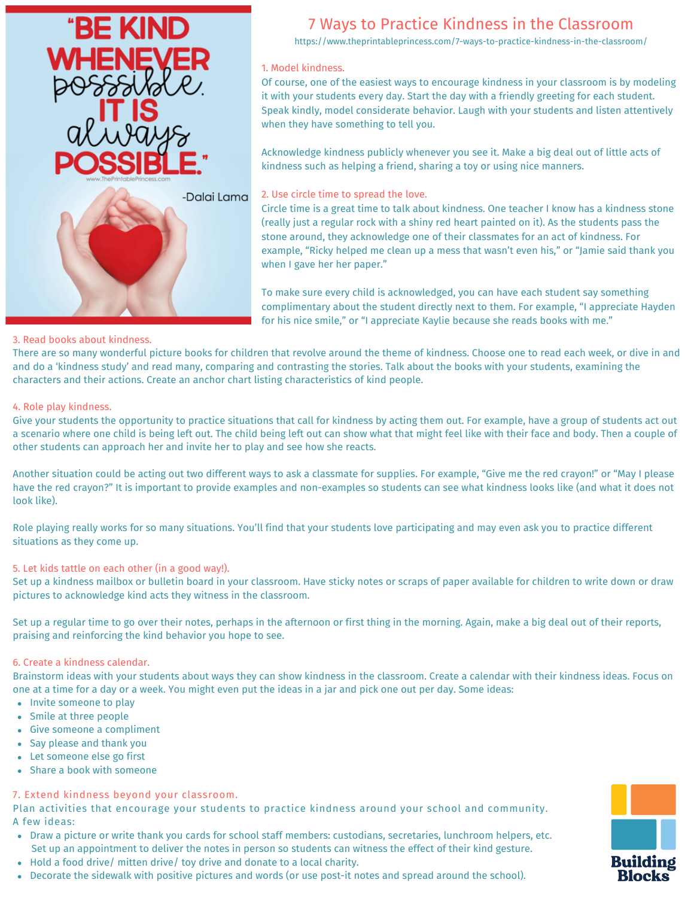

### 7 Ways to Practice Kindness in the Classroom

https://www.theprintableprincess.com/7-ways-to-practice-kindness-in-the-classroom/

### 1. Model kindness.

Of course, one of the easiest ways to encourage kindness in your classroom is by modeling it with your students every day. Start the day with a friendly greeting for each student. Speak kindly, model considerate behavior. Laugh with your students and listen attentively when they have something to tell you.

Acknowledge kindness publicly whenever you see it. Make a big deal out of little acts of kindness such as helping a friend, sharing a toy or using nice manners.

2. Use circle time to spread the love.

Circle time is a great time to talk about kindness. One teacher I know has a kindness stone (really just a regular rock with a shiny red heart painted on it). As the students pass the stone around, they acknowledge one of their classmates for an act of kindness. For example, "Ricky helped me clean up a mess that wasn't even his," or "Jamie said thank you when I gave her her paper."

To make sure every child is acknowledged, you can have each student say something complimentary about the student directly next to them. For example, "I appreciate Hayden for his nice smile," or "I appreciate Kaylie because she reads books with me."

### 3. Read books about kindness.

There are so many wonderful picture books for children that revolve around the theme of kindness. Choose one to read each week, or dive in and and do a 'kindness study' and read many, comparing and contrasting the stories. Talk about the books with your students, examining the characters and their actions. Create an anchor chart listing characteristics of kind people.

### 4. Role play kindness.

Give your students the opportunity to practice situations that call for kindness by acting them out. For example, have a group of students act out a scenario where one child is being left out. The child being left out can show what that might feel like with their face and body. Then a couple of other students can approach her and invite her to play and see how she reacts.

Another situation could be acting out two different ways to ask a classmate for supplies. For example, "Give me the red crayon!" or "May I please have the red crayon?" It is important to provide examples and non-examples so students can see what kindness looks like (and what it does not look like).

Role playing really works for so many situations. You'll find that your students love participating and may even ask you to practice different situations as they come up.

### 5. Let kids tattle on each other (in a good way!).

Set up a kindness mailbox or bulletin board in your classroom. Have sticky notes or scraps of paper available for children to write down or draw pictures to acknowledge kind acts they witness in the classroom.

Set up a regular time to go over their notes, perhaps in the afternoon or first thing in the morning. Again, make a big deal out of their reports, praising and reinforcing the kind behavior you hope to see.

### 6. Create a kindness calendar.

Brainstorm ideas with your students about ways they can show kindness in the classroom. Create a calendar with their kindness ideas. Focus on one at a time for a day or a week. You might even put the ideas in a jar and pick one out per day. Some ideas:

- Invite someone to play
- Smile at three people
- Give someone a compliment
- Say please and thank you
- Let someone else go first
- Share a book with someone

### 7. Extend kindness beyond your classroom.

Plan activities that encourage your students to practice kindness around your school and community. A few ideas:

- Draw a picture or write thank you cards for school staff members: custodians, secretaries, lunchroom helpers, etc. Set up an appointment to deliver the notes in person so students can witness the effect of their kind gesture.
- Hold a food drive/ mitten drive/ toy drive and donate to a local charity.
- Decorate the sidewalk with positive pictures and words (or use post-it notes and spread around the school).